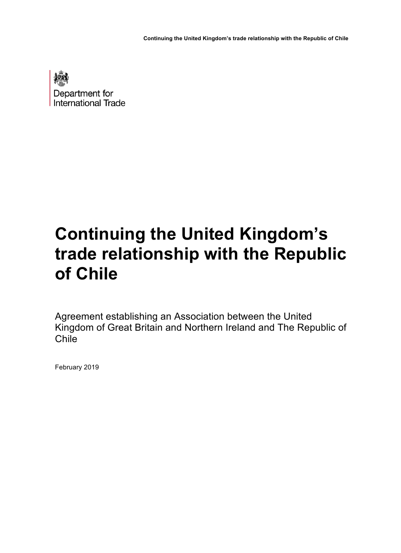**Continuing the United Kingdom's trade relationship with the Republic of Chile** 



# **Continuing the United Kingdom's trade relationship with the Republic of Chile**

 Agreement establishing an Association between the United Kingdom of Great Britain and Northern Ireland and The Republic of Chile

February 2019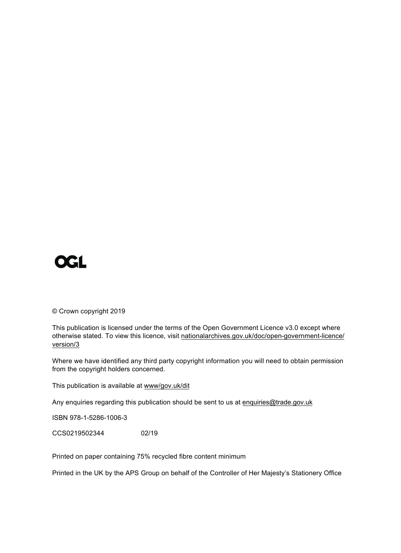# **OGL**

© Crown copyright 2019

 This publication is licensed under the terms of the Open Government Licence v3.0 except where otherwise stated. To view this licence, visit [nationalarchives.gov.uk/doc/open-government-licence/](nationalarchives.gov.uk/doc/open-government-licence/version/3) version/3

 Where we have identified any third party copyright information you will need to obtain permission from the copyright holders concerned.

This publication is available at <www/gov.uk/dit>

Any enquiries regarding this publication should be sent to us at <u>enquiries@trade.gov.uk</u>

ISBN 978-1-5286-1006-3

CCS0219502344 02/19

Printed on paper containing 75% recycled fibre content minimum

Printed in the UK by the APS Group on behalf of the Controller of Her Majesty's Stationery Office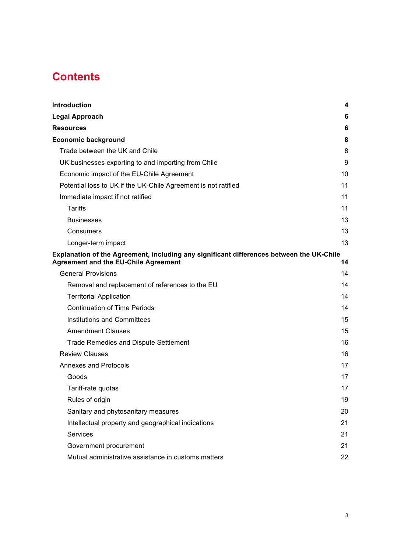# **Contents**

| Introduction                                                                                                                            | 4  |
|-----------------------------------------------------------------------------------------------------------------------------------------|----|
| Legal Approach                                                                                                                          | 6  |
| <b>Resources</b>                                                                                                                        | 6  |
| <b>Economic background</b>                                                                                                              | 8  |
| Trade between the UK and Chile                                                                                                          | 8  |
| UK businesses exporting to and importing from Chile                                                                                     | 9  |
| Economic impact of the EU-Chile Agreement                                                                                               | 10 |
| Potential loss to UK if the UK-Chile Agreement is not ratified                                                                          | 11 |
| Immediate impact if not ratified                                                                                                        | 11 |
| <b>Tariffs</b>                                                                                                                          | 11 |
| <b>Businesses</b>                                                                                                                       | 13 |
| Consumers                                                                                                                               | 13 |
| Longer-term impact                                                                                                                      | 13 |
| Explanation of the Agreement, including any significant differences between the UK-Chile<br><b>Agreement and the EU-Chile Agreement</b> | 14 |
| <b>General Provisions</b>                                                                                                               | 14 |
| Removal and replacement of references to the EU                                                                                         | 14 |
| <b>Territorial Application</b>                                                                                                          | 14 |
| <b>Continuation of Time Periods</b>                                                                                                     | 14 |
| <b>Institutions and Committees</b>                                                                                                      | 15 |
| <b>Amendment Clauses</b>                                                                                                                | 15 |
| <b>Trade Remedies and Dispute Settlement</b>                                                                                            | 16 |
| <b>Review Clauses</b>                                                                                                                   | 16 |
| <b>Annexes and Protocols</b>                                                                                                            | 17 |
| Goods                                                                                                                                   | 17 |
| Tariff-rate quotas                                                                                                                      | 17 |
| Rules of origin                                                                                                                         | 19 |
| Sanitary and phytosanitary measures                                                                                                     | 20 |
| Intellectual property and geographical indications                                                                                      | 21 |
| Services                                                                                                                                | 21 |
| Government procurement                                                                                                                  | 21 |
| Mutual administrative assistance in customs matters                                                                                     | 22 |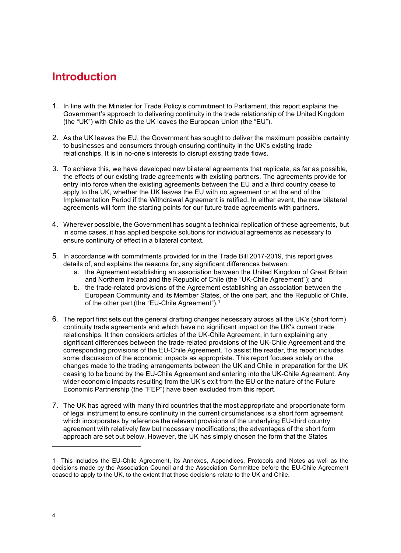# **Introduction**

- 1. In line with the Minister for Trade Policy's commitment to Parliament, this report explains the Government's approach to delivering continuity in the trade relationship of the United Kingdom (the "UK") with Chile as the UK leaves the European Union (the "EU").
- 2. As the UK leaves the EU, the Government has sought to deliver the maximum possible certainty to businesses and consumers through ensuring continuity in the UK's existing trade relationships. It is in no-one's interests to disrupt existing trade flows.
- 3. To achieve this, we have developed new bilateral agreements that replicate, as far as possible, the effects of our existing trade agreements with existing partners. The agreements provide for entry into force when the existing agreements between the EU and a third country cease to apply to the UK, whether the UK leaves the EU with no agreement or at the end of the Implementation Period if the Withdrawal Agreement is ratified. In either event, the new bilateral agreements will form the starting points for our future trade agreements with partners.
- 4. Wherever possible, the Government has sought a technical replication of these agreements, but in some cases, it has applied bespoke solutions for individual agreements as necessary to ensure continuity of effect in a bilateral context.
- 5. In accordance with commitments provided for in the Trade Bill 2017-2019, this report gives details of, and explains the reasons for, any significant differences between:
	- a. the Agreement establishing an association between the United Kingdom of Great Britain and Northern Ireland and the Republic of Chile (the "UK-Chile Agreement"); and
	- b. the trade-related provisions of the Agreement establishing an association between the European Community and its Member States, of the one part, and the Republic of Chile, of the other part (the "EU-Chile Agreement").<sup>1</sup>
- 6. The report first sets out the general drafting changes necessary across all the UK's (short form) continuity trade agreements and which have no significant impact on the UK's current trade relationships. It then considers articles of the UK-Chile Agreement, in turn explaining any significant differences between the trade-related provisions of the UK-Chile Agreement and the corresponding provisions of the EU-Chile Agreement. To assist the reader, this report includes some discussion of the economic impacts as appropriate. This report focuses solely on the changes made to the trading arrangements between the UK and Chile in preparation for the UK ceasing to be bound by the EU-Chile Agreement and entering into the UK-Chile Agreement. Any wider economic impacts resulting from the UK's exit from the EU or the nature of the Future Economic Partnership (the "FEP") have been excluded from this report.
- 7. The UK has agreed with many third countries that the most appropriate and proportionate form of legal instrument to ensure continuity in the current circumstances is a short form agreement which incorporates by reference the relevant provisions of the underlying EU-third country agreement with relatively few but necessary modifications; the advantages of the short form approach are set out below. However, the UK has simply chosen the form that the States

 1 This includes the EU-Chile Agreement, its Annexes, Appendices, Protocols and Notes as well as the decisions made by the Association Council and the Association Committee before the EU-Chile Agreement ceased to apply to the UK, to the extent that those decisions relate to the UK and Chile.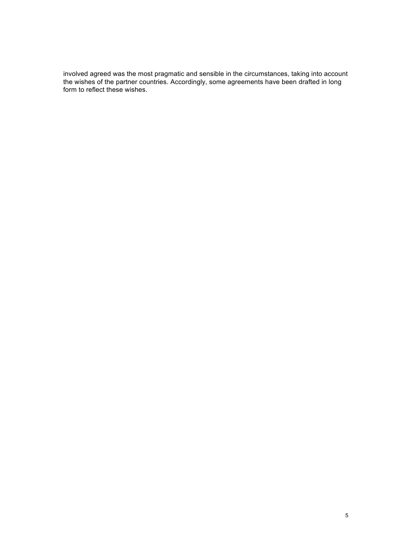involved agreed was the most pragmatic and sensible in the circumstances, taking into account the wishes of the partner countries. Accordingly, some agreements have been drafted in long form to reflect these wishes.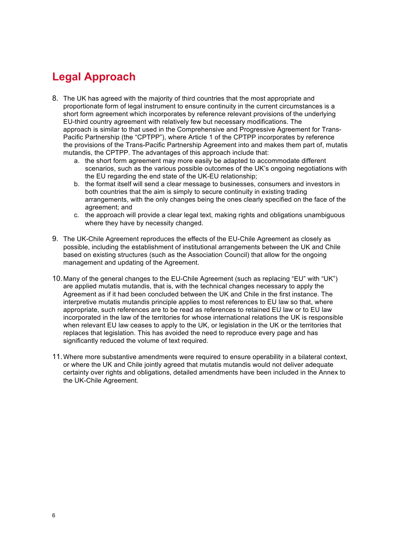# **Legal Approach**

- 8. The UK has agreed with the majority of third countries that the most appropriate and proportionate form of legal instrument to ensure continuity in the current circumstances is a short form agreement which incorporates by reference relevant provisions of the underlying approach is similar to that used in the Comprehensive and Progressive Agreement for Trans- Pacific Partnership (the "CPTPP"), where Article 1 of the CPTPP incorporates by reference the provisions of the Trans-Pacific Partnership Agreement into and makes them part of, mutatis mutandis, the CPTPP. The advantages of this approach include that: EU-third country agreement with relatively few but necessary modifications. The
	- scenarios, such as the various possible outcomes of the UK's ongoing negotiations with the EU regarding the end state of the UK-EU relationship; a. the short form agreement may more easily be adapted to accommodate different
	- both countries that the aim is simply to secure continuity in existing trading arrangements, with the only changes being the ones clearly specified on the face of the b. the format itself will send a clear message to businesses, consumers and investors in agreement; and
	- where they have by necessity changed. c. the approach will provide a clear legal text, making rights and obligations unambiguous
- 9. The UK-Chile Agreement reproduces the effects of the EU-Chile Agreement as closely as possible, including the establishment of institutional arrangements between the UK and Chile based on existing structures (such as the Association Council) that allow for the ongoing management and updating of the Agreement.
- 10.Many of the general changes to the EU-Chile Agreement (such as replacing "EU" with "UK") are applied mutatis mutandis, that is, with the technical changes necessary to apply the Agreement as if it had been concluded between the UK and Chile in the first instance. The interpretive mutatis mutandis principle applies to most references to EU law so that, where appropriate, such references are to be read as references to retained EU law or to EU law incorporated in the law of the territories for whose international relations the UK is responsible when relevant EU law ceases to apply to the UK, or legislation in the UK or the territories that replaces that legislation. This has avoided the need to reproduce every page and has significantly reduced the volume of text required.
- 11.Where more substantive amendments were required to ensure operability in a bilateral context, or where the UK and Chile jointly agreed that mutatis mutandis would not deliver adequate certainty over rights and obligations, detailed amendments have been included in the Annex to the UK-Chile Agreement.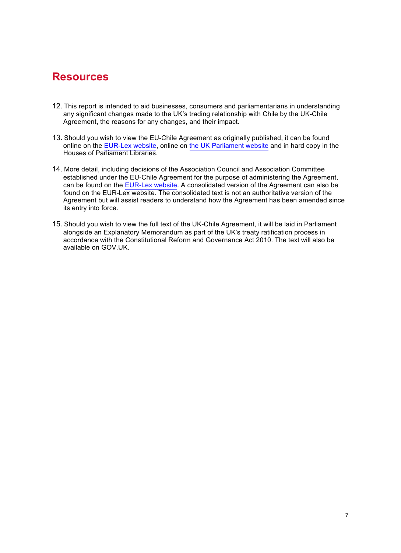# **Resources**

- 12. This report is intended to aid businesses, consumers and parliamentarians in understanding any significant changes made to the UK's trading relationship with Chile by the UK-Chile Agreement, the reasons for any changes, and their impact.
- 13. Should you wish to view the EU-Chile Agreement as originally published, it can be found online on the [EUR-Lex website](https://eur-lex.europa.eu/legal-content/EN/TXT/?uri=uriserv:OJ.L_.2002.352.01.0003.01.ENG&toc=OJ:L:2002:352:TOC), online on [the UK Parliament website](https://publications.parliament.uk/pa/cm200102/cmselect/cmeuleg/152-xli/15218.htm) and in hard copy in the Houses of Parliament Libraries.
- 14. More detail, including decisions of the Association Council and Association Committee established under the EU-Chile Agreement for the purpose of administering the Agreement, can be found on the [EUR-Lex website.](https://eur-lex.europa.eu/collection/eu-law/inter-agree.html) A consolidated version of the Agreement can also be found on the EUR-Lex website. The consolidated text is not an authoritative version of the Agreement but will assist readers to understand how the Agreement has been amended since its entry into force.
- 15. Should you wish to view the full text of the UK-Chile Agreement, it will be laid in Parliament alongside an Explanatory Memorandum as part of the UK's treaty ratification process in accordance with the Constitutional Reform and Governance Act 2010. The text will also be available on GOV.UK.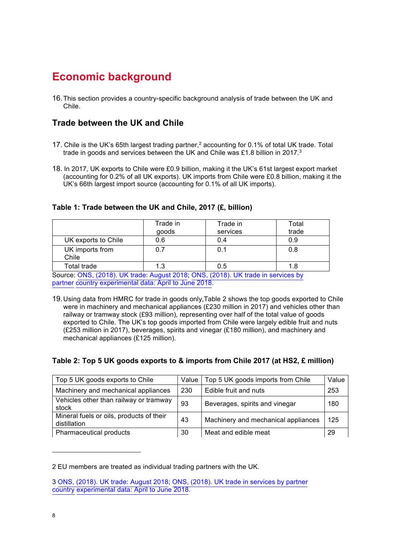# **Economic background**

 16.This section provides a country-specific background analysis of trade between the UK and Chile.

## **Trade between the UK and Chile**

- 17. Chile is the UK's 65th largest trading partner,<sup>2</sup> accounting for 0.1% of total UK trade. Total trade in goods and services between the UK and Chile was £1.8 billion in 2017.<sup>3</sup>
- 18. In 2017, UK exports to Chile were £0.9 billion, making it the UK's 61st largest export market (accounting for 0.2% of all UK exports). UK imports from Chile were £0.8 billion, making it the UK's 66th largest import source (accounting for 0.1% of all UK imports).

**Table 1: Trade between the UK and Chile, 2017 (£, billion)** 

|                                                                                  | Trade in<br>goods | Trade in<br>services | Total<br>trade |
|----------------------------------------------------------------------------------|-------------------|----------------------|----------------|
|                                                                                  |                   |                      |                |
| UK exports to Chile                                                              | 0.6               | 0.4                  | 0.9            |
| UK imports from<br>Chile                                                         | 0.7               | 0.1                  | 0.8            |
| Total trade                                                                      | 1.3               | 0.5                  | 1.8            |
| Source: ONS, (2018). UK trade: August 2018, ONS, (2018). UK trade in services by |                   |                      |                |

partner country experimental data: April to June 2018.

 19.Using data from HMRC for trade in goods only,Table 2 shows the top goods exported to Chile were in machinery and mechanical appliances (£230 million in 2017) and vehicles other than railway or tramway stock (£93 million), representing over half of the total value of goods exported to Chile. The UK's top goods imported from Chile were largely edible fruit and nuts (£253 million in 2017), beverages, spirits and vinegar (£180 million), and machinery and mechanical appliances (£125 million).

#### **Table 2: Top 5 UK goods exports to & imports from Chile 2017 (at HS2, £ million)**

| Top 5 UK goods exports to Chile                          | Value | Top 5 UK goods imports from Chile   | Value |
|----------------------------------------------------------|-------|-------------------------------------|-------|
| Machinery and mechanical appliances                      | 230   | Edible fruit and nuts               | 253   |
| Vehicles other than railway or tramway<br>stock          | 93    | Beverages, spirits and vinegar      | 180   |
| Mineral fuels or oils, products of their<br>distillation | 43    | Machinery and mechanical appliances | 125   |
| Pharmaceutical products                                  | 30    | Meat and edible meat                | -29   |

 2 EU members are treated as individual trading partners with the UK.

 [3](https://www.ons.gov.uk/releases/internationaltradeinservicesbypartnercountryapriltojune2018) [ONS, \(2018\). UK trade: August 201](https://www.ons.gov.uk/economy/nationalaccounts/balanceofpayments/bulletins/uktrade/august2018)[8; ONS, \(2018\). UK trade in services by partner](https://www.ons.gov.uk/releases/internationaltradeinservicesbypartnercountryapriltojune2018)  country experimental data: April to June 2018.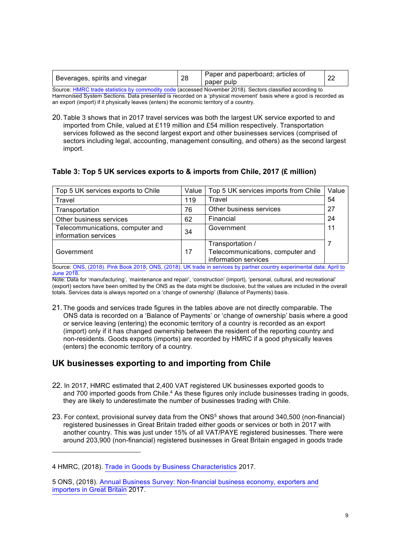| Beverages, spirits and vinegar                                                                            | 28 | Paper and paperboard; articles of<br>paper pulp | 22 |
|-----------------------------------------------------------------------------------------------------------|----|-------------------------------------------------|----|
| Source: HMRC trade statistics by commodity code (accessed November 2018). Sectors classified according to |    |                                                 |    |

 Harmonised System Sections. Data presented is recorded on a 'physical movement' basis where a good is recorded as an export (import) if it physically leaves (enters) the economic territory of a country.

 20.Table 3 shows that in 2017 travel services was both the largest UK service exported to and imported from Chile, valued at £119 million and £54 million respectively. Transportation services followed as the second largest export and other businesses services (comprised of sectors including legal, accounting, management consulting, and others) as the second largest import.

#### **Table 3: Top 5 UK services exports to & imports from Chile, 2017 (£ million)**

| Top 5 UK services exports to Chile                                                                                    | Value | Top 5 UK services imports from Chile                                         | Value |
|-----------------------------------------------------------------------------------------------------------------------|-------|------------------------------------------------------------------------------|-------|
| Travel                                                                                                                | 119   | Travel                                                                       | 54    |
| Transportation                                                                                                        | 76    | Other business services                                                      | 27    |
| Other business services                                                                                               | 62    | Financial                                                                    | 24    |
| Telecommunications, computer and<br>information services                                                              | 34    | Government                                                                   | 11    |
| Government                                                                                                            | 17    | Transportation /<br>Telecommunications, computer and<br>information services |       |
| Source: ONS, (2018). Pink Book 2018; ONS, (2018). UK trade in services by partner country experimental data: April to |       |                                                                              |       |

[Source: O](https://www.ons.gov.uk/releases/internationaltradeinservicesbypartnercountryapriltojune2018)[NS, \(2018\). Pink Book 201](https://www.ons.gov.uk/economy/nationalaccounts/balanceofpayments/bulletins/unitedkingdombalanceofpaymentsthepinkbook/2018)[8; ONS, \(2018\). UK trade in services by partner country experimental data: April to](https://www.ons.gov.uk/releases/internationaltradeinservicesbypartnercountryapriltojune2018) **June 2018.** 

 Note: Data for 'manufacturing', 'maintenance and repair', 'construction' (import), 'personal, cultural, and recreational' (export) sectors have been omitted by the ONS as the data might be disclosive, but the values are included in the overall totals. Services data is always reported on a 'change of ownership' (Balance of Payments) basis.

 21.The goods and services trade figures in the tables above are not directly comparable. The ONS data is recorded on a 'Balance of Payments' or 'change of ownership' basis where a good or service leaving (entering) the economic territory of a country is recorded as an export (import) only if it has changed ownership between the resident of the reporting country and (enters) the economic territory of a country. non-residents. Goods exports (imports) are recorded by HMRC if a good physically leaves

### **UK businesses exporting to and importing from Chile**

- 22. In 2017, HMRC estimated that 2,400 VAT registered UK businesses exported goods to and 700 imported goods from Chile.<sup>4</sup> As these figures only include businesses trading in goods, they are likely to underestimate the number of businesses trading with Chile.
- 23. For context, provisional survey data from the ONS<sup>5</sup> shows that around 340,500 (non-financial) registered businesses in Great Britain traded either goods or services or both in 2017 with another country. This was just under 15% of all VAT/PAYE registered businesses. There were around 203,900 (non-financial) registered businesses in Great Britain engaged in goods trade

 4 HMRC, (2018). [Trade in Goods by Business Characteristics](https://www.gov.uk/government/statistical-data-sets/uk-trade-in-goods-by-business-characteristics-2017-data-tables) 2017.

 [5 ONS, \(2018\). Annual Business Survey: Non-financial business economy, exporters and](https://www.ons.gov.uk/businessindustryandtrade/business/businessservices/datasets/annualbusinesssurveyimportersandexporters) importers in Great Britain 2017.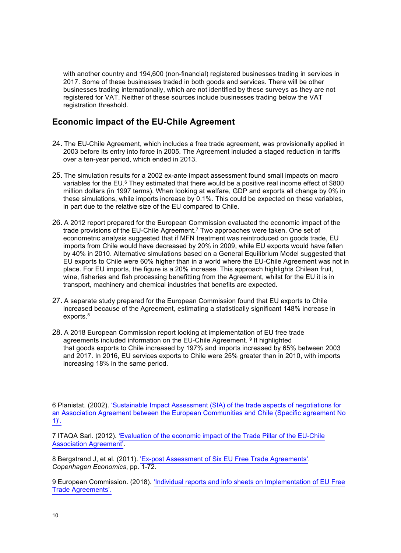with another country and 194,600 (non-financial) registered businesses trading in services in 2017. Some of these businesses traded in both goods and services. There will be other businesses trading internationally, which are not identified by these surveys as they are not registered for VAT. Neither of these sources include businesses trading below the VAT registration threshold.

## **Economic impact of the EU-Chile Agreement**

- 24. The EU-Chile Agreement, which includes a free trade agreement, was provisionally applied in 2003 before its entry into force in 2005. The Agreement included a staged reduction in tariffs over a ten-year period, which ended in 2013.
- 25. The simulation results for a 2002 ex-ante impact assessment found small impacts on macro variables for the EU.<sup>6</sup> They estimated that there would be a positive real income effect of \$800 million dollars (in 1997 terms). When looking at welfare, GDP and exports all change by 0% in these simulations, while imports increase by 0.1%. This could be expected on these variables, in part due to the relative size of the EU compared to Chile.
- 26. A 2012 report prepared for the European Commission evaluated the economic impact of the trade provisions of the EU-Chile Agreement.<sup>7</sup> Two approaches were taken. One set of econometric analysis suggested that if MFN treatment was reintroduced on goods trade, EU imports from Chile would have decreased by 20% in 2009, while EU exports would have fallen by 40% in 2010. Alternative simulations based on a General Equilibrium Model suggested that EU exports to Chile were 60% higher than in a world where the EU-Chile Agreement was not in place. For EU imports, the figure is a 20% increase. This approach highlights Chilean fruit, wine, fisheries and fish processing benefitting from the Agreement, whilst for the EU it is in transport, machinery and chemical industries that benefits are expected.
- 27. A separate study prepared for the European Commission found that EU exports to Chile increased because of the Agreement, estimating a statistically significant 148% increase in exports.8
- 28. A 2018 European Commission report looking at implementation of EU free trade agreements included information on the EU-Chile Agreement. <sup>9</sup> It highlighted that goods exports to Chile increased by 197% and imports increased by 65% between 2003 and 2017. In 2016, EU services exports to Chile were 25% greater than in 2010, with imports increasing 18% in the same period.

 6 Planistat. (2002). 'Sustainable Impact Assessment (SIA) of the trade aspects of negotiations for [an Association Agreement between the European Communities and Chile \(Specific agreement No](http://trade.ec.europa.eu/doclib/html/146109.htm)  $1)'$ .

 [7 ITAQA Sarl. \(2012\). 'Evaluation of the economic impact of the Trade Pillar of the EU-Chile](http://trade.ec.europa.eu/doclib/html/149881.htm) Association Agreement'.

 8 Bergstrand J, et al. (2011). ['Ex-post Assessment of Six EU Free Trade Agreements'](http://trade.ec.europa.eu/doclib/html/147905.htm). *Copenhagen Economics*, pp. 1-72.

 [9 European Commission. \(2018\). 'Individual reports and info sheets on Implementation of EU Free](http://trade.ec.europa.eu/doclib/docs/2018/october/tradoc_157473.PDF) Trade Agreements'.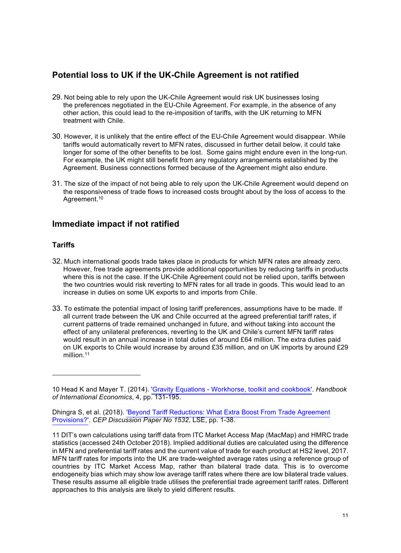## **Potential loss to UK if the UK-Chile Agreement is not ratified**

- 29. Not being able to rely upon the UK-Chile Agreement would risk UK businesses losing the preferences negotiated in the EU-Chile Agreement. For example, in the absence of any other action, this could lead to the re-imposition of tariffs, with the UK returning to MFN treatment with Chile.
- 30. However, it is unlikely that the entire effect of the EU-Chile Agreement would disappear. While tariffs would automatically revert to MFN rates, discussed in further detail below, it could take longer for some of the other benefits to be lost. Some gains might endure even in the long-run. For example, the UK might still benefit from any regulatory arrangements established by the Agreement. Business connections formed because of the Agreement might also endure.
- 31. The size of the impact of not being able to rely upon the UK-Chile Agreement would depend on the responsiveness of trade flows to increased costs brought about by the loss of access to the Agreement.<sup>10</sup>

### **Immediate impact if not ratified**

#### **Tariffs**

- 32. Much international goods trade takes place in products for which MFN rates are already zero. However, free trade agreements provide additional opportunities by reducing tariffs in products where this is not the case. If the UK-Chile Agreement could not be relied upon, tariffs between the two countries would risk reverting to MFN rates for all trade in goods. This would lead to an increase in duties on some UK exports to and imports from Chile.
- 33. To estimate the potential impact of losing tariff preferences, assumptions have to be made. If all current trade between the UK and Chile occurred at the agreed preferential tariff rates, if current patterns of trade remained unchanged in future, and without taking into account the effect of any unilateral preferences, reverting to the UK and Chile's current MFN tariff rates would result in an annual increase in total duties of around £64 million. The extra duties paid on UK exports to Chile would increase by around £35 million, and on UK imports by around £29 [million](https://million.11).<sup>11</sup>

 10 Head K and Mayer T. (2014). ['Gravity Equations - Workhorse, toolkit and cookbook'.](https://www.sciencedirect.com/science/article/pii/B9780444543141000033) *Handbook of International Economics*, 4, pp. 131-195.

 [Dhingra S, et al. \(2018\). 'Beyond Tariff Reductions: What Extra Boost From Trade Agreement](http://eprints.lse.ac.uk/88683/1/dp1532.pdf)  Provisions?'. *CEP Discussion Paper No 1532*, LSE, pp. 1-38.

 11 DIT's own calculations using tariff data from ITC Market Access Map (MacMap) and HMRC trade statistics (accessed 24th October 2018). Implied additional duties are calculated using the difference in MFN and preferential tariff rates and the current value of trade for each product at HS2 level, 2017. MFN tariff rates for imports into the UK are trade-weighted average rates using a reference group of countries by ITC Market Access Map, rather than bilateral trade data. This is to overcome endogeneity bias which may show low average tariff rates where there are low bilateral trade values. These results assume all eligible trade utilises the preferential trade agreement tariff rates. Different approaches to this analysis are likely to yield different results.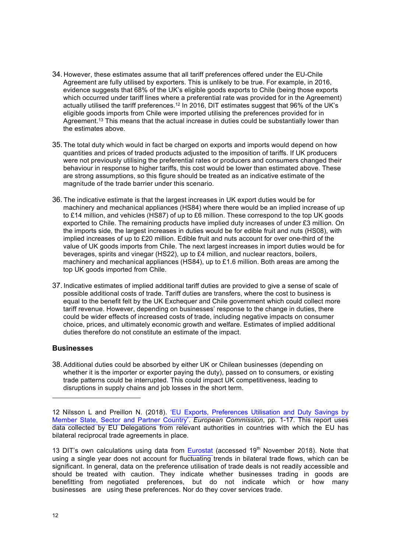- 34. However, these estimates assume that all tariff preferences offered under the EU-Chile Agreement are fully utilised by exporters. This is unlikely to be true. For example, in 2016, evidence suggests that 68% of the UK's eligible goods exports to Chile (being those exports which occurred under tariff lines where a preferential rate was provided for in the Agreement) actually utilised the tariff preferences.<sup>12</sup> In 2016, DIT estimates suggest that 96% of the UK's eligible goods imports from Chile were imported utilising the preferences provided for in Agreement.<sup>13</sup> This means that the actual increase in duties could be substantially lower than the estimates above.
- 35. The total duty which would in fact be charged on exports and imports would depend on how quantities and prices of traded products adjusted to the imposition of tariffs. If UK producers were not previously utilising the preferential rates or producers and consumers changed their behaviour in response to higher tariffs, this cost would be lower than estimated above. These are strong assumptions, so this figure should be treated as an indicative estimate of the magnitude of the trade barrier under this scenario.
- 36. The indicative estimate is that the largest increases in UK export duties would be for machinery and mechanical appliances (HS84) where there would be an implied increase of up to £14 million, and vehicles (HS87) of up to £6 million. These correspond to the top UK goods exported to Chile. The remaining products have implied duty increases of under £3 million. On the imports side, the largest increases in duties would be for edible fruit and nuts (HS08), with implied increases of up to £20 million. Edible fruit and nuts account for over one-third of the value of UK goods imports from Chile. The next largest increases in import duties would be for beverages, spirits and vinegar (HS22), up to £4 million, and nuclear reactors, boilers, machinery and mechanical appliances (HS84), up to £1.6 million. Both areas are among the top UK goods imported from Chile.
- 37. Indicative estimates of implied additional tariff duties are provided to give a sense of scale of possible additional costs of trade. Tariff duties are transfers, where the cost to business is equal to the benefit felt by the UK Exchequer and Chile government which could collect more tariff revenue. However, depending on businesses' response to the change in duties, there could be wider effects of increased costs of trade, including negative impacts on consumer choice, prices, and ultimately economic growth and welfare. Estimates of implied additional duties therefore do not constitute an estimate of the impact.

#### **Businesses**

 38.Additional duties could be absorbed by either UK or Chilean businesses (depending on whether it is the importer or exporter paying the duty), passed on to consumers, or existing disruptions in supply chains and job losses in the short term. trade patterns could be interrupted. This could impact UK competitiveness, leading to

 should be treated with caution. They indicate whether businesses trading in goods are benefitting from negotiated preferences, but do not indicate which or how many 13 DIT's own calculations using data from [Eurostat](http://epp.eurostat.ec.europa.eu/newxtweb/setupdimselection.do) (accessed  $19<sup>th</sup>$  November 2018). Note that using a single year does not account for fluctuating trends in bilateral trade flows, which can be significant. In general, data on the preference utilisation of trade deals is not readily accessible and businesses are using these preferences. Nor do they cover services trade.

[<sup>12</sup> Nilsson L and Preillon N. \(2018\). 'EU Exports, Preferences Utilisation and Duty Savings by](http://trade.ec.europa.eu/doclib/docs/2018/june/tradoc_156931.pdf) data collected by EU Delegations from relevant authorities in countries with which the EU has Member State, Sector and Partner Country'. *European Commission*, pp. 1-17. This report uses bilateral reciprocal trade agreements in place.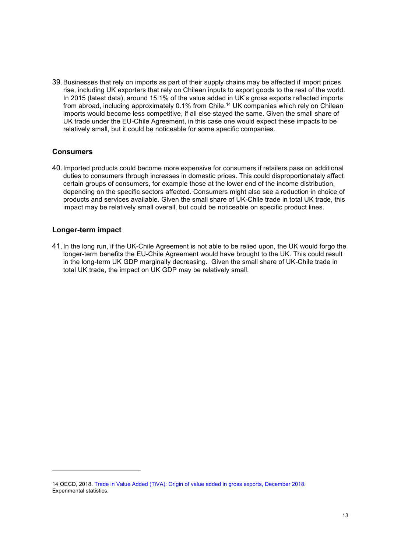39.Businesses that rely on imports as part of their supply chains may be affected if import prices rise, including UK exporters that rely on Chilean inputs to export goods to the rest of the world. In 2015 (latest data), around 15.1% of the value added in UK's gross exports reflected imports from abroad, including approximately 0.1% from Chile.<sup>14</sup> UK companies which rely on Chilean imports would become less competitive, if all else stayed the same. Given the small share of UK trade under the EU-Chile Agreement, in this case one would expect these impacts to be relatively small, but it could be noticeable for some specific companies.

#### **Consumers**

 duties to consumers through increases in domestic prices. This could disproportionately affect certain groups of consumers, for example those at the lower end of the income distribution, depending on the specific sectors affected. Consumers might also see a reduction in choice of products and services available. Given the small share of UK-Chile trade in total UK trade, this impact may be relatively small overall, but could be noticeable on specific product lines. 40.Imported products could become more expensive for consumers if retailers pass on additional

#### **Longer-term impact**

 41.In the long run, if the UK-Chile Agreement is not able to be relied upon, the UK would forgo the longer-term benefits the EU-Chile Agreement would have brought to the UK. This could result in the long-term UK GDP marginally decreasing. Given the small share of UK-Chile trade in total UK trade, the impact on UK GDP may be relatively small.

 14 OECD, 2018. [Trade in Value Added \(TiVA\): Origin of value added in gross exports, December 2018.](https://stats.oecd.org/Index.aspx?DataSetCode=TIVA_2018_C1) Experimental statistics.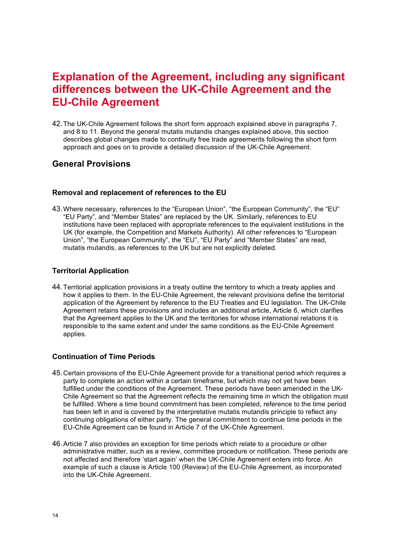# **EU-Chile Agreement Explanation of the Agreement, including any significant differences between the UK-Chile Agreement and the**

 42.The UK-Chile Agreement follows the short form approach explained above in paragraphs 7, and 8 to 11. Beyond the general mutatis mutandis changes explained above, this section describes global changes made to continuity free trade agreements following the short form approach and goes on to provide a detailed discussion of the UK-Chile Agreement.

### **General Provisions**

#### **Removal and replacement of references to the EU**

 43.Where necessary, references to the "European Union", "the European Community", the "EU" "EU Party", and "Member States" are replaced by the UK. Similarly, references to EU institutions have been replaced with appropriate references to the equivalent institutions in the UK (for example, the Competition and Markets Authority). All other references to "European Union", "the European Community", the "EU", "EU Party" and "Member States" are read, mutatis mutandis, as references to the UK but are not explicitly deleted.

#### **Territorial Application**

 44.Territorial application provisions in a treaty outline the territory to which a treaty applies and how it applies to them. In the EU-Chile Agreement, the relevant provisions define the territorial application of the Agreement by reference to the EU Treaties and EU legislation. The UK-Chile Agreement retains these provisions and includes an additional article, Article 6, which clarifies that the Agreement applies to the UK and the territories for whose international relations it is responsible to the same extent and under the same conditions as the EU-Chile Agreement applies.

#### **Continuation of Time Periods**

- 45.Certain provisions of the EU-Chile Agreement provide for a transitional period which requires a party to complete an action within a certain timeframe, but which may not yet have been Chile Agreement so that the Agreement reflects the remaining time in which the obligation must be fulfilled. Where a time bound commitment has been completed, reference to the time period has been left in and is covered by the interpretative mutatis mutandis principle to reflect any continuing obligations of either party. The general commitment to continue time periods in the EU-Chile Agreement can be found in Article 7 of the UK-Chile Agreement. fulfilled under the conditions of the Agreement. These periods have been amended in the UK-
- 46.Article 7 also provides an exception for time periods which relate to a procedure or other administrative matter, such as a review, committee procedure or notification. These periods are not affected and therefore 'start again' when the UK-Chile Agreement enters into force. An example of such a clause is Article 100 (Review) of the EU-Chile Agreement, as incorporated into the UK-Chile Agreement.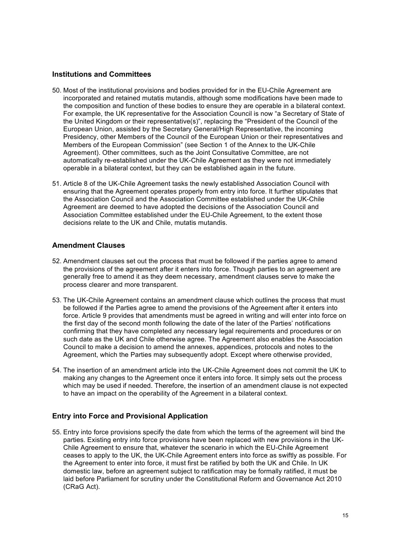#### **Institutions and Committees**

- 50. Most of the institutional provisions and bodies provided for in the EU-Chile Agreement are incorporated and retained mutatis mutandis, although some modifications have been made to For example, the UK representative for the Association Council is now "a Secretary of State of Presidency, other Members of the Council of the European Union or their representatives and Members of the European Commission" (see Section 1 of the Annex to the UK-Chile Agreement). Other committees, such as the Joint Consultative Committee, are not automatically re-established under the UK-Chile Agreement as they were not immediately operable in a bilateral context, but they can be established again in the future. the composition and function of these bodies to ensure they are operable in a bilateral context. the United Kingdom or their representative(s)", replacing the "President of the Council of the European Union, assisted by the Secretary General/High Representative, the incoming
- ensuring that the Agreement operates properly from entry into force. It further stipulates that Agreement are deemed to have adopted the decisions of the Association Council and Association Committee established under the EU-Chile Agreement, to the extent those decisions relate to the UK and Chile, mutatis mutandis. 51. Article 8 of the UK-Chile Agreement tasks the newly established Association Council with the Association Council and the Association Committee established under the UK-Chile

#### **Amendment Clauses**

- 52. Amendment clauses set out the process that must be followed if the parties agree to amend generally free to amend it as they deem necessary, amendment clauses serve to make the process clearer and more transparent. the provisions of the agreement after it enters into force. Though parties to an agreement are
- 53. The UK-Chile Agreement contains an amendment clause which outlines the process that must be followed if the Parties agree to amend the provisions of the Agreement after it enters into confirming that they have completed any necessary legal requirements and procedures or on such date as the UK and Chile otherwise agree. The Agreement also enables the Association Council to make a decision to amend the annexes, appendices, protocols and notes to the Agreement, which the Parties may subsequently adopt. Except where otherwise provided, force. Article 9 provides that amendments must be agreed in writing and will enter into force on the first day of the second month following the date of the later of the Parties' notifications
- 54. The insertion of an amendment article into the UK-Chile Agreement does not commit the UK to making any changes to the Agreement once it enters into force. It simply sets out the process which may be used if needed. Therefore, the insertion of an amendment clause is not expected to have an impact on the operability of the Agreement in a bilateral context.

#### **Entry into Force and Provisional Application**

 55. Entry into force provisions specify the date from which the terms of the agreement will bind the parties. Existing entry into force provisions have been replaced with new provisions in the UK- Chile Agreement to ensure that, whatever the scenario in which the EU-Chile Agreement ceases to apply to the UK, the UK-Chile Agreement enters into force as swiftly as possible. For domestic law, before an agreement subject to ratification may be formally ratified, it must be laid before Parliament for scrutiny under the Constitutional Reform and Governance Act 2010 the Agreement to enter into force, it must first be ratified by both the UK and Chile. In UK (CRaG Act).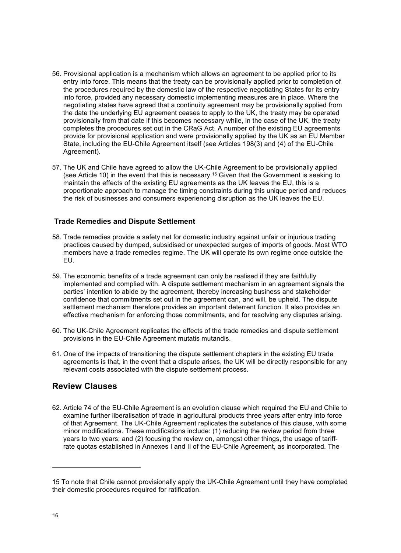- 56. Provisional application is a mechanism which allows an agreement to be applied prior to its entry into force. This means that the treaty can be provisionally applied prior to completion of the procedures required by the domestic law of the respective negotiating States for its entry into force, provided any necessary domestic implementing measures are in place. Where the negotiating states have agreed that a continuity agreement may be provisionally applied from the date the underlying EU agreement ceases to apply to the UK, the treaty may be operated provisionally from that date if this becomes necessary while, in the case of the UK, the treaty completes the procedures set out in the CRaG Act. A number of the existing EU agreements provide for provisional application and were provisionally applied by the UK as an EU Member State, including the EU-Chile Agreement itself (see Articles 198(3) and (4) of the EU-Chile Agreement).
- 57. The UK and Chile have agreed to allow the UK-Chile Agreement to be provisionally applied (see Article 10) in the event that this is necessary.<sup>15</sup> Given that the Government is seeking to maintain the effects of the existing EU agreements as the UK leaves the EU, this is a proportionate approach to manage the timing constraints during this unique period and reduces the risk of businesses and consumers experiencing disruption as the UK leaves the EU.

#### **Trade Remedies and Dispute Settlement**

- 58. Trade remedies provide a safety net for domestic industry against unfair or injurious trading practices caused by dumped, subsidised or unexpected surges of imports of goods. Most WTO members have a trade remedies regime. The UK will operate its own regime once outside the EU.
- 59. The economic benefits of a trade agreement can only be realised if they are faithfully implemented and complied with. A dispute settlement mechanism in an agreement signals the parties' intention to abide by the agreement, thereby increasing business and stakeholder confidence that commitments set out in the agreement can, and will, be upheld. The dispute settlement mechanism therefore provides an important deterrent function. It also provides an effective mechanism for enforcing those commitments, and for resolving any disputes arising.
- 60. The UK-Chile Agreement replicates the effects of the trade remedies and dispute settlement provisions in the EU-Chile Agreement mutatis mutandis.
- 61. One of the impacts of transitioning the dispute settlement chapters in the existing EU trade agreements is that, in the event that a dispute arises, the UK will be directly responsible for any relevant costs associated with the dispute settlement process.

### **Review Clauses**

 62. Article 74 of the EU-Chile Agreement is an evolution clause which required the EU and Chile to examine further liberalisation of trade in agricultural products three years after entry into force of that Agreement. The UK-Chile Agreement replicates the substance of this clause, with some minor modifications. These modifications include: (1) reducing the review period from three years to two years; and (2) focusing the review on, amongst other things, the usage of tariff-rate quotas established in Annexes I and II of the EU-Chile Agreement, as incorporated. The

 15 To note that Chile cannot provisionally apply the UK-Chile Agreement until they have completed their domestic procedures required for ratification.<br>16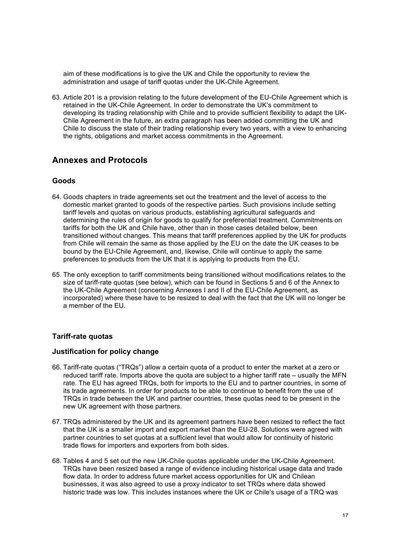aim of these modifications is to give the UK and Chile the opportunity to review the administration and usage of tariff quotas under the UK-Chile Agreement.

 63. Article 201 is a provision relating to the future development of the EU-Chile Agreement which is retained in the UK-Chile Agreement. In order to demonstrate the UK's commitment to developing its trading relationship with Chile and to provide sufficient flexibility to adapt the UK- Chile Agreement in the future, an extra paragraph has been added committing the UK and Chile to discuss the state of their trading relationship every two years, with a view to enhancing the rights, obligations and market access commitments in the Agreement.

### **Annexes and Protocols**

#### **Goods**

- 64. Goods chapters in trade agreements set out the treatment and the level of access to the domestic market granted to goods of the respective parties. Such provisions include setting determining the rules of origin for goods to qualify for preferential treatment. Commitments on bound by the EU-Chile Agreement, and, likewise, Chile will continue to apply the same preferences to products from the UK that it is applying to products from the EU. tariff levels and quotas on various products, establishing agricultural safeguards and tariffs for both the UK and Chile have, other than in those cases detailed below, been transitioned without changes. This means that tariff preferences applied by the UK for products from Chile will remain the same as those applied by the EU on the date the UK ceases to be
- 65. The only exception to tariff commitments being transitioned without modifications relates to the size of tariff-rate quotas (see below), which can be found in Sections 5 and 6 of the Annex to the UK-Chile Agreement (concerning Annexes I and II of the EU-Chile Agreement, as incorporated) where these have to be resized to deal with the fact that the UK will no longer be a member of the EU.

#### **Tariff-rate quotas**

#### **Justification for policy change**

- 66. Tariff-rate quotas ("TRQs") allow a certain quota of a product to enter the market at a zero or reduced tariff rate. Imports above the quota are subject to a higher tariff rate – usually the MFN rate. The EU has agreed TRQs, both for imports to the EU and to partner countries, in some of its trade agreements. In order for products to be able to continue to benefit from the use of TRQs in trade between the UK and partner countries, these quotas need to be present in the new UK agreement with those partners.
- 67. TRQs administered by the UK and its agreement partners have been resized to reflect the fact that the UK is a smaller import and export market than the EU-28. Solutions were agreed with partner countries to set quotas at a sufficient level that would allow for continuity of historic trade flows for importers and exporters from both sides.
- 68. Tables 4 and 5 set out the new UK-Chile quotas applicable under the UK-Chile Agreement. TRQs have been resized based a range of evidence including historical usage data and trade businesses, it was also agreed to use a proxy indicator to set TRQs where data showed historic trade was low. This includes instances where the UK or Chile's usage of a TRQ was flow data. In order to address future market access opportunities for UK and Chilean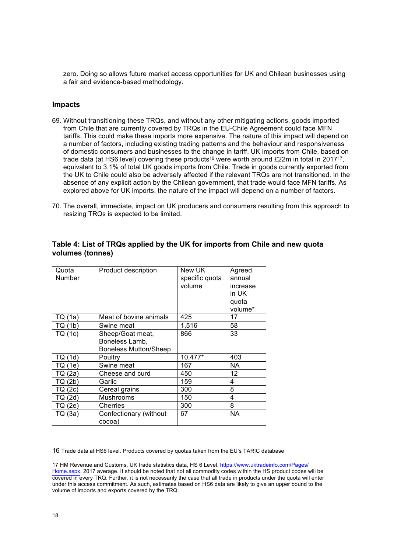zero. Doing so allows future market access opportunities for UK and Chilean businesses using a fair and evidence-based methodology.

#### **Impacts**

- 69. Without transitioning these TRQs, and without any other mitigating actions, goods imported from Chile that are currently covered by TRQs in the EU-Chile Agreement could face MFN tariffs. This could make these imports more expensive. The nature of this impact will depend on a number of factors, including existing trading patterns and the behaviour and responsiveness of domestic consumers and businesses to the change in tariff. UK imports from Chile, based on trade data (at HS6 level) covering these products<sup>16</sup> were worth around £22m in total in 2017<sup>17</sup>, equivalent to 3.1% of total UK goods imports from Chile. Trade in goods currently exported from the UK to Chile could also be adversely affected if the relevant TRQs are not transitioned. In the absence of any explicit action by the Chilean government, that trade would face MFN tariffs. As explored above for UK imports, the nature of the impact will depend on a number of factors.
- 70. The overall, immediate, impact on UK producers and consumers resulting from this approach to resizing TRQs is expected to be limited.

| Quota<br>Number | Product description                                                | New UK<br>specific quota<br>volume | Agreed<br>annual<br>increase<br>in UK<br>quota<br>volume* |
|-----------------|--------------------------------------------------------------------|------------------------------------|-----------------------------------------------------------|
| TQ (1a)         | Meat of bovine animals                                             | 425                                | 17                                                        |
| TQ (1b)         | Swine meat                                                         | 1,516                              | 58                                                        |
| TQ (1c)         | Sheep/Goat meat,<br>Boneless Lamb,<br><b>Boneless Mutton/Sheep</b> | 866                                | 33                                                        |
| TQ (1d)         | Poultry                                                            | 10,477*                            | 403                                                       |
| TQ (1e)         | Swine meat                                                         | 167                                | <b>NA</b>                                                 |
| TQ (2a)         | Cheese and curd                                                    | 450                                | 12                                                        |
| TQ (2b)         | Garlic                                                             | 159                                | 4                                                         |
| TQ (2c)         | Cereal grains                                                      | 300                                | 8                                                         |
| TQ (2d)         | Mushrooms                                                          | 150                                | 4                                                         |
| TQ (2e)         | Cherries                                                           | 300                                | 8                                                         |
| TQ (3a)         | Confectionary (without<br>cocoa)                                   | 67                                 | <b>NA</b>                                                 |

#### **Table 4: List of TRQs applied by the UK for imports from Chile and new quota volumes (tonnes)**

16 Trade data at HS6 level. Products covered by quotas taken from the EU's TARIC database

 [17 HM Revenue and Customs, UK trade statistics data, HS 6 Level. https://www.uktradeinfo.com/Pages/](https://www.uktradeinfo.com/Pages/Home.aspx.) Home.aspx. 2017 average. It should be noted that not all commodity codes within the HS product codes will be covered in every TRQ. Further, it is not necessarily the case that all trade in products under the quota will enter under this access commitment. As such, estimates based on HS6 data are likely to give an upper bound to the volume of imports and exports covered by the TRQ.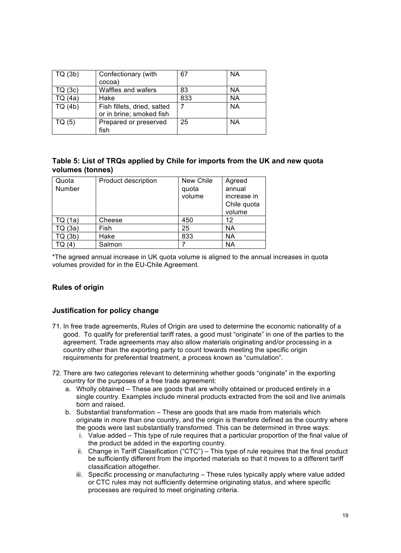| TQ(3b)  | Confectionary (with<br>cocoa)                           | 67  | NA        |
|---------|---------------------------------------------------------|-----|-----------|
| TQ (3c) | Waffles and wafers                                      | 83  | NA        |
| TQ (4a) | Hake                                                    | 833 | NA        |
| TQ(4b)  | Fish fillets, dried, salted<br>or in brine; smoked fish |     | <b>NA</b> |
| TQ (5)  | Prepared or preserved<br>fish                           | 25  | NA        |

#### **Table 5: List of TRQs applied by Chile for imports from the UK and new quota volumes (tonnes)**

| Quota<br>Number | Product description | New Chile<br>quota<br>volume | Agreed<br>annual<br>increase in<br>Chile quota<br>volume |
|-----------------|---------------------|------------------------------|----------------------------------------------------------|
| TQ (1a)         | Cheese              | 450                          | 12                                                       |
| TQ (3a)         | Fish                | 25                           | <b>NA</b>                                                |
| TQ (3b)         | Hake                | 833                          | <b>NA</b>                                                |
|                 | Salmon              |                              | <b>NA</b>                                                |

 \*The agreed annual increase in UK quota volume is aligned to the annual increases in quota volumes provided for in the EU-Chile Agreement.

#### **Rules of origin**

#### **Justification for policy change**

- good. To qualify for preferential tariff rates, a good must "originate" in one of the parties to the country other than the exporting party to count towards meeting the specific origin requirements for preferential treatment, a process known as "cumulation". 71. In free trade agreements, Rules of Origin are used to determine the economic nationality of a agreement. Trade agreements may also allow materials originating and/or processing in a
- 72. There are two categories relevant to determining whether goods "originate" in the exporting country for the purposes of a free trade agreement:
	- a. Wholly obtained These are goods that are wholly obtained or produced entirely in a single country. Examples include mineral products extracted from the soil and live animals born and raised.
	- b. Substantial transformation These are goods that are made from materials which the goods were last substantially transformed. This can be determined in three ways: originate in more than one country, and the origin is therefore defined as the country where
		- i. Value added This type of rule requires that a particular proportion of the final value of the product be added in the exporting country.
		- ii. Change in Tariff Classification ("CTC") This type of rule requires that the final product be sufficiently different from the imported materials so that it moves to a different tariff classification altogether.
		- iii. Specific processing or manufacturing These rules typically apply where value added or CTC rules may not sufficiently determine originating status, and where specific processes are required to meet originating criteria.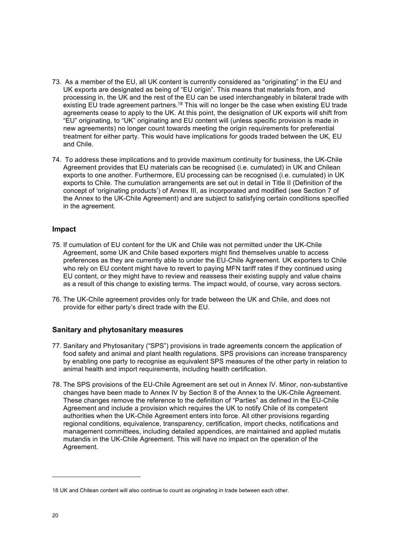- 73. As a member of the EU, all UK content is currently considered as "originating" in the EU and UK exports are designated as being of "EU origin". This means that materials from, and processing in, the UK and the rest of the EU can be used interchangeably in bilateral trade with existing EU trade agreement partners.<sup>18</sup> This will no longer be the case when existing EU trade agreements cease to apply to the UK. At this point, the designation of UK exports will shift from "EU" originating, to "UK" originating and EU content will (unless specific provision is made in new agreements) no longer count towards meeting the origin requirements for preferential treatment for either party. This would have implications for goods traded between the UK, EU and Chile.
- 74. To address these implications and to provide maximum continuity for business, the UK-Chile Agreement provides that EU materials can be recognised (i.e. cumulated) in UK and Chilean exports to one another. Furthermore, EU processing can be recognised (i.e. cumulated) in UK exports to Chile. The cumulation arrangements are set out in detail in Title II (Definition of the concept of 'originating products') of Annex III, as incorporated and modified (see Section 7 of the Annex to the UK-Chile Agreement) and are subject to satisfying certain conditions specified in the agreement.

#### **Impact**

- Agreement, some UK and Chile based exporters might find themselves unable to access preferences as they are currently able to under the EU-Chile Agreement. UK exporters to Chile who rely on EU content might have to revert to paying MFN tariff rates if they continued using EU content, or they might have to review and reassess their existing supply and value chains as a result of this change to existing terms. The impact would, of course, vary across sectors. 75. If cumulation of EU content for the UK and Chile was not permitted under the UK-Chile
- 76. The UK-Chile agreement provides only for trade between the UK and Chile, and does not provide for either party's direct trade with the EU.

#### **Sanitary and phytosanitary measures**

- 77. Sanitary and Phytosanitary ("SPS") provisions in trade agreements concern the application of food safety and animal and plant health regulations. SPS provisions can increase transparency by enabling one party to recognise as equivalent SPS measures of the other party in relation to animal health and import requirements, including health certification.
- 78. The SPS provisions of the EU-Chile Agreement are set out in Annex IV. Minor, non-substantive changes have been made to Annex IV by Section 8 of the Annex to the UK-Chile Agreement. These changes remove the reference to the definition of "Parties" as defined in the EU-Chile Agreement and include a provision which requires the UK to notify Chile of its competent authorities when the UK-Chile Agreement enters into force. All other provisions regarding regional conditions, equivalence, transparency, certification, import checks, notifications and management committees, including detailed appendices, are maintained and applied mutatis mutandis in the UK-Chile Agreement. This will have no impact on the operation of the Agreement.

 18 UK and Chilean content will also continue to count as originating in trade between each other.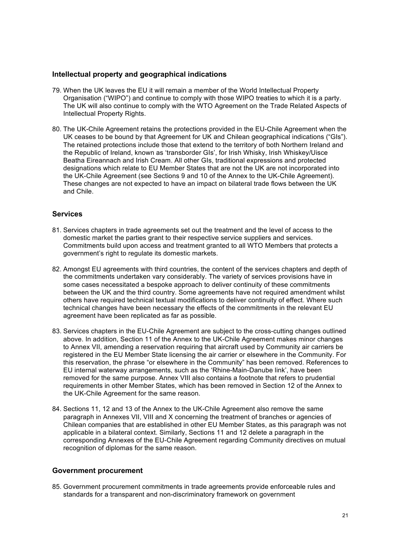#### **Intellectual property and geographical indications**

- 79. When the UK leaves the EU it will remain a member of the World Intellectual Property Organisation ("WIPO") and continue to comply with those WIPO treaties to which it is a party. The UK will also continue to comply with the WTO Agreement on the Trade Related Aspects of Intellectual Property Rights.
- 80. The UK-Chile Agreement retains the protections provided in the EU-Chile Agreement when the UK ceases to be bound by that Agreement for UK and Chilean geographical indications ("GIs"). Beatha Eireannach and Irish Cream. All other GIs, traditional expressions and protected designations which relate to EU Member States that are not the UK are not incorporated into the UK-Chile Agreement (see Sections 9 and 10 of the Annex to the UK-Chile Agreement). These changes are not expected to have an impact on bilateral trade flows between the UK The retained protections include those that extend to the territory of both Northern Ireland and the Republic of Ireland, known as 'transborder GIs', for Irish Whisky, Irish Whiskey/Uisce and Chile.

#### **Services**

- 81. Services chapters in trade agreements set out the treatment and the level of access to the domestic market the parties grant to their respective service suppliers and services. Commitments build upon access and treatment granted to all WTO Members that protects a government's right to regulate its domestic markets.
- 82. Amongst EU agreements with third countries, the content of the services chapters and depth of some cases necessitated a bespoke approach to deliver continuity of these commitments between the UK and the third country. Some agreements have not required amendment whilst others have required technical textual modifications to deliver continuity of effect. Where such agreement have been replicated as far as possible. the commitments undertaken vary considerably. The variety of services provisions have in technical changes have been necessary the effects of the commitments in the relevant EU
- 83. Services chapters in the EU-Chile Agreement are subject to the cross-cutting changes outlined above. In addition, Section 11 of the Annex to the UK-Chile Agreement makes minor changes registered in the EU Member State licensing the air carrier or elsewhere in the Community. For EU internal waterway arrangements, such as the 'Rhine-Main-Danube link', have been removed for the same purpose. Annex VIII also contains a footnote that refers to prudential requirements in other Member States, which has been removed in Section 12 of the Annex to the UK-Chile Agreement for the same reason. to Annex VII, amending a reservation requiring that aircraft used by Community air carriers be this reservation, the phrase "or elsewhere in the Community" has been removed. References to
- 84. Sections 11, 12 and 13 of the Annex to the UK-Chile Agreement also remove the same paragraph in Annexes VII, VIII and X concerning the treatment of branches or agencies of Chilean companies that are established in other EU Member States, as this paragraph was not applicable in a bilateral context. Similarly, Sections 11 and 12 delete a paragraph in the corresponding Annexes of the EU-Chile Agreement regarding Community directives on mutual recognition of diplomas for the same reason.

#### **Government procurement**

 85. Government procurement commitments in trade agreements provide enforceable rules and standards for a transparent and non-discriminatory framework on government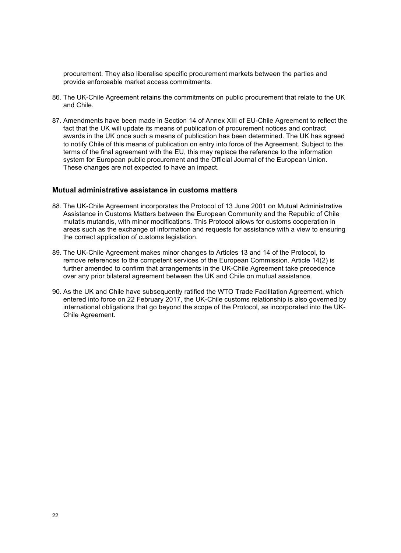procurement. They also liberalise specific procurement markets between the parties and provide enforceable market access commitments.

- 86. The UK-Chile Agreement retains the commitments on public procurement that relate to the UK and Chile.
- 87. Amendments have been made in Section 14 of Annex XIII of EU-Chile Agreement to reflect the awards in the UK once such a means of publication has been determined. The UK has agreed system for European public procurement and the Official Journal of the European Union. These changes are not expected to have an impact. fact that the UK will update its means of publication of procurement notices and contract to notify Chile of this means of publication on entry into force of the Agreement. Subject to the terms of the final agreement with the EU, this may replace the reference to the information

#### **Mutual administrative assistance in customs matters**

- 88. The UK-Chile Agreement incorporates the Protocol of 13 June 2001 on Mutual Administrative Assistance in Customs Matters between the European Community and the Republic of Chile mutatis mutandis, with minor modifications. This Protocol allows for customs cooperation in areas such as the exchange of information and requests for assistance with a view to ensuring the correct application of customs legislation.
- 89. The UK-Chile Agreement makes minor changes to Articles 13 and 14 of the Protocol, to remove references to the competent services of the European Commission. Article 14(2) is further amended to confirm that arrangements in the UK-Chile Agreement take precedence over any prior bilateral agreement between the UK and Chile on mutual assistance.
- 90. As the UK and Chile have subsequently ratified the WTO Trade Facilitation Agreement, which entered into force on 22 February 2017, the UK-Chile customs relationship is also governed by international obligations that go beyond the scope of the Protocol, as incorporated into the UK-Chile Agreement.